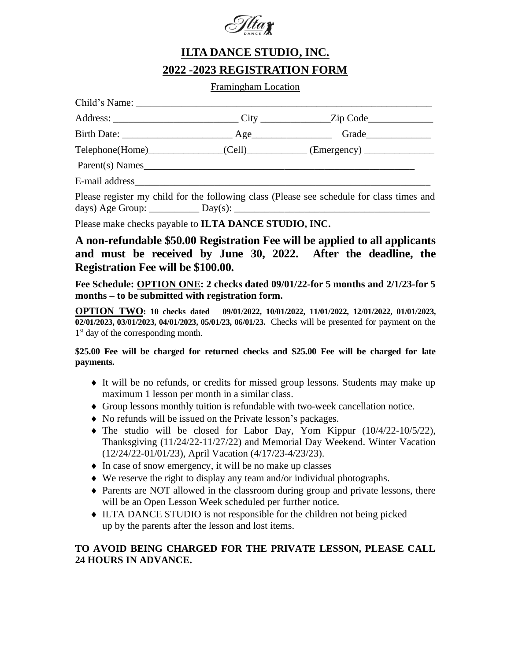

## **ILTA DANCE STUDIO, INC. 2022 -2023 REGISTRATION FORM**

Framingham Location

|                                        | Address: _________________________________City _________________Zip Code____________________________ |  |
|----------------------------------------|------------------------------------------------------------------------------------------------------|--|
|                                        | Grade                                                                                                |  |
| $\text{Telephone}(\text{Home})$ (Cell) | (Energy)                                                                                             |  |
| Parent(s) Names                        |                                                                                                      |  |
|                                        |                                                                                                      |  |

Please register my child for the following class (Please see schedule for class times and days) Age Group: \_\_\_\_\_\_\_\_\_\_ Day(s): \_\_\_\_\_\_\_\_\_\_\_\_\_\_\_\_\_\_\_\_\_\_\_\_\_\_\_\_\_\_\_\_\_\_\_\_\_\_\_

Please make checks payable to **ILTA DANCE STUDIO, INC.**

**A non-refundable \$50.00 Registration Fee will be applied to all applicants and must be received by June 30, 2022. After the deadline, the Registration Fee will be \$100.00.**

**Fee Schedule: OPTION ONE: 2 checks dated 09/01/22-for 5 months and 2/1/23-for 5 months – to be submitted with registration form.**

**OPTION TWO: 10 checks dated 09/01/2022, 10/01/2022, 11/01/2022, 12/01/2022, 01/01/2023, 02/01/2023, 03/01/2023, 04/01/2023, 05/01/23, 06/01/23.** Checks will be presented for payment on the 1<sup>st</sup> day of the corresponding month.

**\$25.00 Fee will be charged for returned checks and \$25.00 Fee will be charged for late payments.**

- It will be no refunds, or credits for missed group lessons. Students may make up maximum 1 lesson per month in a similar class.
- Group lessons monthly tuition is refundable with two-week cancellation notice.
- No refunds will be issued on the Private lesson's packages.
- The studio will be closed for Labor Day, Yom Kippur (10/4/22-10/5/22), Thanksgiving (11/24/22-11/27/22) and Memorial Day Weekend. Winter Vacation (12/24/22-01/01/23), April Vacation (4/17/23-4/23/23).
- $\bullet$  In case of snow emergency, it will be no make up classes
- We reserve the right to display any team and/or individual photographs.
- Parents are NOT allowed in the classroom during group and private lessons, there will be an Open Lesson Week scheduled per further notice.
- $\bullet$  ILTA DANCE STUDIO is not responsible for the children not being picked up by the parents after the lesson and lost items.

## **TO AVOID BEING CHARGED FOR THE PRIVATE LESSON, PLEASE CALL 24 HOURS IN ADVANCE.**